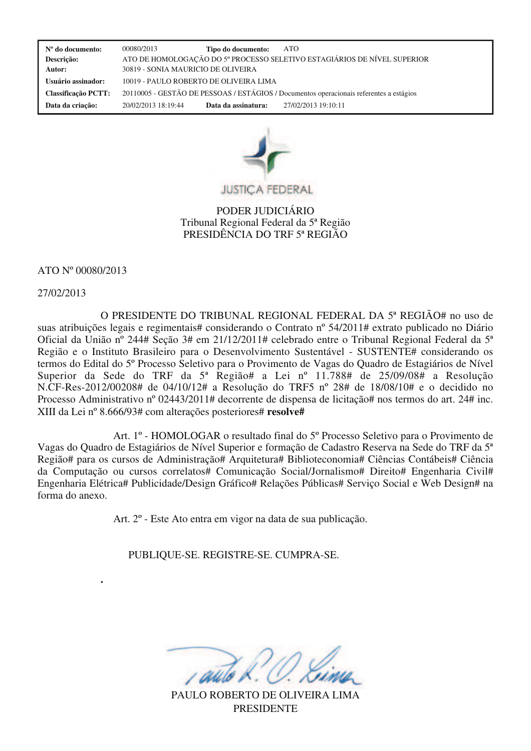**Nº do documento:** 00080/2013 **Tipo do documento:** ATO  **Descrição:** ATO DE HOMOLOGAÇÃO DO 5º PROCESSO SELETIVO ESTAGIÁRIOS DE NÍVEL SUPERIOR  **Autor:** 30819 - SONIA MAURICIO DE OLIVEIRA  **Usuário assinador:** 10019 - PAULO ROBERTO DE OLIVEIRA LIMA  **Classificação PCTT:** 20110005 - GESTÃO DE PESSOAS / ESTÁGIOS / Documentos operacionais referentes a estágios  **Data da criação:** 20/02/2013 18:19:44 **Data da assinatura:** 27/02/2013 19:10:11



PODER JUDICIÁRIO Tribunal Regional Federal da 5ª Região PRESIDÊNCIA DO TRF 5ª REGIÃO

## ATO Nº 00080/2013

**.**

## 27/02/2013

O PRESIDENTE DO TRIBUNAL REGIONAL FEDERAL DA 5ª REGIÃO# no uso de suas atribuições legais e regimentais# considerando o Contrato nº 54/2011# extrato publicado no Diário Oficial da União nº 244# Seção 3# em 21/12/2011# celebrado entre o Tribunal Regional Federal da 5ª Região e o Instituto Brasileiro para o Desenvolvimento Sustentável - SUSTENTE# considerando os termos do Edital do 5º Processo Seletivo para o Provimento de Vagas do Quadro de Estagiários de Nível Superior da Sede do TRF da 5ª Região# a Lei nº 11.788# de 25/09/08# a Resolução N.CF-Res-2012/00208# de 04/10/12# a Resolução do TRF5 nº 28# de 18/08/10# e o decidido no Processo Administrativo nº 02443/2011# decorrente de dispensa de licitação# nos termos do art. 24# inc. XIII da Lei nº 8.666/93# com alterações posteriores# **resolve#**

Art. 1º - HOMOLOGAR o resultado final do 5º Processo Seletivo para o Provimento de Vagas do Quadro de Estagiários de Nível Superior e formação de Cadastro Reserva na Sede do TRF da 5ª Região# para os cursos de Administração# Arquitetura# Biblioteconomia# Ciências Contábeis# Ciência da Computação ou cursos correlatos# Comunicação Social/Jornalismo# Direito# Engenharia Civil# Engenharia Elétrica# Publicidade/Design Gráfico# Relações Públicas# Serviço Social e Web Design# na forma do anexo.

Art. 2º - Este Ato entra em vigor na data de sua publicação.

PUBLIQUE-SE. REGISTRE-SE. CUMPRA-SE.

PAULO ROBERTO DE OLIVEIRA LIMA PRESIDENTE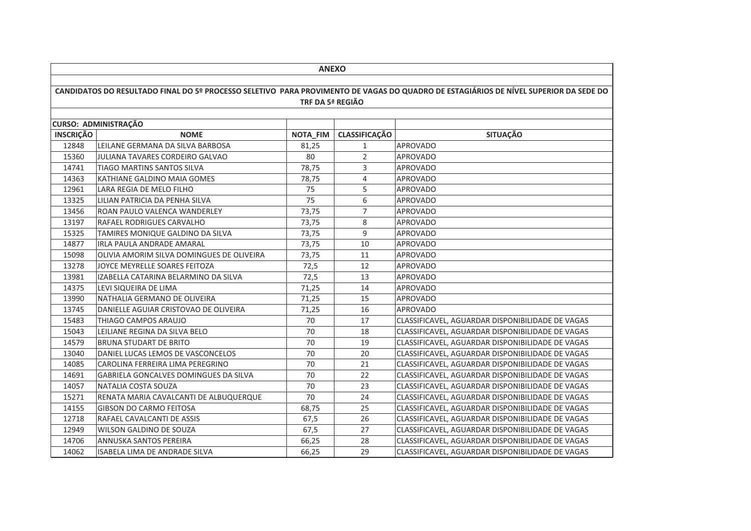|                                                                                                                                      | <b>ANEXO</b>                              |                  |                      |                                                  |  |  |
|--------------------------------------------------------------------------------------------------------------------------------------|-------------------------------------------|------------------|----------------------|--------------------------------------------------|--|--|
|                                                                                                                                      |                                           |                  |                      |                                                  |  |  |
| CANDIDATOS DO RESULTADO FINAL DO 5º PROCESSO SELETIVO PARA PROVIMENTO DE VAGAS DO QUADRO DE ESTAGIÁRIOS DE NÍVEL SUPERIOR DA SEDE DO |                                           |                  |                      |                                                  |  |  |
|                                                                                                                                      |                                           | TRF DA 5ª REGIÃO |                      |                                                  |  |  |
|                                                                                                                                      |                                           |                  |                      |                                                  |  |  |
|                                                                                                                                      | <b>CURSO: ADMINISTRAÇÃO</b>               |                  |                      |                                                  |  |  |
| <b>INSCRIÇÃO</b>                                                                                                                     | <b>NOME</b>                               | NOTA_FIM         | <b>CLASSIFICAÇÃO</b> | <b>SITUAÇÃO</b>                                  |  |  |
| 12848                                                                                                                                | LEILANE GERMANA DA SILVA BARBOSA          | 81,25            | 1                    | <b>APROVADO</b>                                  |  |  |
| 15360                                                                                                                                | JULIANA TAVARES CORDEIRO GALVAO           | 80               | $\overline{2}$       | <b>APROVADO</b>                                  |  |  |
| 14741                                                                                                                                | TIAGO MARTINS SANTOS SILVA                | 78,75            | 3                    | <b>APROVADO</b>                                  |  |  |
| 14363                                                                                                                                | KATHIANE GALDINO MAIA GOMES               | 78,75            | 4                    | <b>APROVADO</b>                                  |  |  |
| 12961                                                                                                                                | LARA REGIA DE MELO FILHO                  | 75               | 5                    | <b>APROVADO</b>                                  |  |  |
| 13325                                                                                                                                | LILIAN PATRICIA DA PENHA SILVA            | 75               | 6                    | <b>APROVADO</b>                                  |  |  |
| 13456                                                                                                                                | ROAN PAULO VALENCA WANDERLEY              | 73,75            | $\overline{7}$       | <b>APROVADO</b>                                  |  |  |
| 13197                                                                                                                                | RAFAEL RODRIGUES CARVALHO                 | 73,75            | 8                    | <b>APROVADO</b>                                  |  |  |
| 15325                                                                                                                                | TAMIRES MONIQUE GALDINO DA SILVA          | 73,75            | 9                    | <b>APROVADO</b>                                  |  |  |
| 14877                                                                                                                                | <b>IRLA PAULA ANDRADE AMARAL</b>          | 73,75            | 10                   | <b>APROVADO</b>                                  |  |  |
| 15098                                                                                                                                | OLIVIA AMORIM SILVA DOMINGUES DE OLIVEIRA | 73,75            | 11                   | <b>APROVADO</b>                                  |  |  |
| 13278                                                                                                                                | JOYCE MEYRELLE SOARES FEITOZA             | 72,5             | 12                   | <b>APROVADO</b>                                  |  |  |
| 13981                                                                                                                                | IZABELLA CATARINA BELARMINO DA SILVA      | 72,5             | 13                   | APROVADO                                         |  |  |
| 14375                                                                                                                                | LEVI SIQUEIRA DE LIMA                     | 71,25            | 14                   | <b>APROVADO</b>                                  |  |  |
| 13990                                                                                                                                | NATHALIA GERMANO DE OLIVEIRA              | 71,25            | 15                   | <b>APROVADO</b>                                  |  |  |
| 13745                                                                                                                                | DANIELLE AGUIAR CRISTOVAO DE OLIVEIRA     | 71,25            | 16                   | <b>APROVADO</b>                                  |  |  |
| 15483                                                                                                                                | THIAGO CAMPOS ARAUJO                      | 70               | 17                   | CLASSIFICAVEL, AGUARDAR DISPONIBILIDADE DE VAGAS |  |  |
| 15043                                                                                                                                | LEILIANE REGINA DA SILVA BELO             | 70               | 18                   | CLASSIFICAVEL, AGUARDAR DISPONIBILIDADE DE VAGAS |  |  |
| 14579                                                                                                                                | <b>BRUNA STUDART DE BRITO</b>             | 70               | 19                   | CLASSIFICAVEL, AGUARDAR DISPONIBILIDADE DE VAGAS |  |  |
| 13040                                                                                                                                | DANIEL LUCAS LEMOS DE VASCONCELOS         | 70               | 20                   | CLASSIFICAVEL, AGUARDAR DISPONIBILIDADE DE VAGAS |  |  |
| 14085                                                                                                                                | CAROLINA FERREIRA LIMA PEREGRINO          | 70               | 21                   | CLASSIFICAVEL, AGUARDAR DISPONIBILIDADE DE VAGAS |  |  |
| 14691                                                                                                                                | GABRIELA GONCALVES DOMINGUES DA SILVA     | 70               | 22                   | CLASSIFICAVEL, AGUARDAR DISPONIBILIDADE DE VAGAS |  |  |
| 14057                                                                                                                                | NATALIA COSTA SOUZA                       | 70               | 23                   | CLASSIFICAVEL, AGUARDAR DISPONIBILIDADE DE VAGAS |  |  |
| 15271                                                                                                                                | RENATA MARIA CAVALCANTI DE ALBUQUERQUE    | 70               | 24                   | CLASSIFICAVEL, AGUARDAR DISPONIBILIDADE DE VAGAS |  |  |
| 14155                                                                                                                                | <b>GIBSON DO CARMO FEITOSA</b>            | 68,75            | 25                   | CLASSIFICAVEL, AGUARDAR DISPONIBILIDADE DE VAGAS |  |  |
| 12718                                                                                                                                | RAFAEL CAVALCANTI DE ASSIS                | 67,5             | 26                   | CLASSIFICAVEL, AGUARDAR DISPONIBILIDADE DE VAGAS |  |  |
| 12949                                                                                                                                | WILSON GALDINO DE SOUZA                   | 67,5             | 27                   | CLASSIFICAVEL, AGUARDAR DISPONIBILIDADE DE VAGAS |  |  |
| 14706                                                                                                                                | <b>ANNUSKA SANTOS PEREIRA</b>             | 66,25            | 28                   | CLASSIFICAVEL, AGUARDAR DISPONIBILIDADE DE VAGAS |  |  |
| 14062                                                                                                                                | ISABELA LIMA DE ANDRADE SILVA             | 66,25            | 29                   | CLASSIFICAVEL, AGUARDAR DISPONIBILIDADE DE VAGAS |  |  |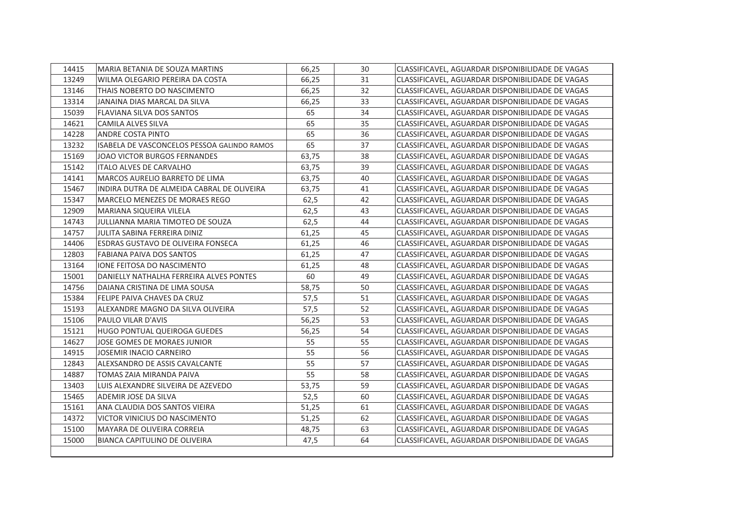| 13249<br>66,25<br>31<br>WILMA OLEGARIO PEREIRA DA COSTA<br>CLASSIFICAVEL, AGUARDAR DISPONIBILIDADE DE VAGAS<br>13146<br>66,25<br>32<br>THAIS NOBERTO DO NASCIMENTO<br>CLASSIFICAVEL, AGUARDAR DISPONIBILIDADE DE VAGAS<br>13314<br>JANAINA DIAS MARCAL DA SILVA<br>33<br>66,25<br>CLASSIFICAVEL, AGUARDAR DISPONIBILIDADE DE VAGAS<br>34<br>15039<br>FLAVIANA SILVA DOS SANTOS<br>65<br>CLASSIFICAVEL, AGUARDAR DISPONIBILIDADE DE VAGAS<br>35<br>65<br>14621<br>CAMILA ALVES SILVA<br>CLASSIFICAVEL, AGUARDAR DISPONIBILIDADE DE VAGAS<br>36<br>14228<br><b>ANDRE COSTA PINTO</b><br>65<br>CLASSIFICAVEL, AGUARDAR DISPONIBILIDADE DE VAGAS<br>65<br>37<br><b>ISABELA DE VASCONCELOS PESSOA GALINDO RAMOS</b><br>13232<br>CLASSIFICAVEL, AGUARDAR DISPONIBILIDADE DE VAGAS<br>15169<br>63,75<br>38<br>JOAO VICTOR BURGOS FERNANDES<br>CLASSIFICAVEL, AGUARDAR DISPONIBILIDADE DE VAGAS<br>39<br>15142<br><b>ITALO ALVES DE CARVALHO</b><br>63,75<br>CLASSIFICAVEL, AGUARDAR DISPONIBILIDADE DE VAGAS<br>40<br>14141<br>MARCOS AURELIO BARRETO DE LIMA<br>63,75<br>CLASSIFICAVEL, AGUARDAR DISPONIBILIDADE DE VAGAS<br>15467<br>41<br>INDIRA DUTRA DE ALMEIDA CABRAL DE OLIVEIRA<br>63,75<br>CLASSIFICAVEL, AGUARDAR DISPONIBILIDADE DE VAGAS<br>15347<br><b>MARCELO MENEZES DE MORAES REGO</b><br>42<br>CLASSIFICAVEL, AGUARDAR DISPONIBILIDADE DE VAGAS<br>62,5<br>43<br>12909<br><b>MARIANA SIQUEIRA VILELA</b><br>62,5<br>CLASSIFICAVEL, AGUARDAR DISPONIBILIDADE DE VAGAS<br>44<br>14743<br>JULLIANNA MARIA TIMOTEO DE SOUZA<br>62,5<br>CLASSIFICAVEL, AGUARDAR DISPONIBILIDADE DE VAGAS<br>45<br>14757<br>JULITA SABINA FERREIRA DINIZ<br>CLASSIFICAVEL, AGUARDAR DISPONIBILIDADE DE VAGAS<br>61,25<br>46<br>14406<br><b>ESDRAS GUSTAVO DE OLIVEIRA FONSECA</b><br>61,25<br>CLASSIFICAVEL, AGUARDAR DISPONIBILIDADE DE VAGAS<br>47<br>12803<br><b>FABIANA PAIVA DOS SANTOS</b><br>61.25<br>CLASSIFICAVEL, AGUARDAR DISPONIBILIDADE DE VAGAS<br>48<br>13164<br><b>IONE FEITOSA DO NASCIMENTO</b><br>61,25<br>CLASSIFICAVEL, AGUARDAR DISPONIBILIDADE DE VAGAS<br>49<br>15001<br>DANIELLY NATHALHA FERREIRA ALVES PONTES<br>60<br>CLASSIFICAVEL, AGUARDAR DISPONIBILIDADE DE VAGAS<br>58,75<br>50<br>14756<br>CLASSIFICAVEL, AGUARDAR DISPONIBILIDADE DE VAGAS<br>DAIANA CRISTINA DE LIMA SOUSA<br>15384<br>FELIPE PAIVA CHAVES DA CRUZ<br>57,5<br>51<br>CLASSIFICAVEL, AGUARDAR DISPONIBILIDADE DE VAGAS<br>15193<br>52<br>ALEXANDRE MAGNO DA SILVA OLIVEIRA<br>57,5<br>CLASSIFICAVEL, AGUARDAR DISPONIBILIDADE DE VAGAS<br>15106<br>PAULO VILAR D'AVIS<br>53<br>56,25<br>CLASSIFICAVEL, AGUARDAR DISPONIBILIDADE DE VAGAS<br>54<br>15121<br>HUGO PONTUAL QUEIROGA GUEDES<br>CLASSIFICAVEL, AGUARDAR DISPONIBILIDADE DE VAGAS<br>56,25<br>55<br>14627<br>55<br>JOSE GOMES DE MORAES JUNIOR<br>CLASSIFICAVEL, AGUARDAR DISPONIBILIDADE DE VAGAS<br>56<br>14915<br>55<br>JOSEMIR INACIO CARNEIRO<br>CLASSIFICAVEL, AGUARDAR DISPONIBILIDADE DE VAGAS<br>57<br>55<br>12843<br>ALEXSANDRO DE ASSIS CAVALCANTE<br>CLASSIFICAVEL, AGUARDAR DISPONIBILIDADE DE VAGAS<br>55<br>58<br>14887<br>TOMAS ZAIA MIRANDA PAIVA<br>CLASSIFICAVEL, AGUARDAR DISPONIBILIDADE DE VAGAS<br>59<br>13403<br>LUIS ALEXANDRE SILVEIRA DE AZEVEDO<br>53,75<br>CLASSIFICAVEL, AGUARDAR DISPONIBILIDADE DE VAGAS<br>ADEMIR JOSE DA SILVA<br>60<br>CLASSIFICAVEL, AGUARDAR DISPONIBILIDADE DE VAGAS<br>15465<br>52,5<br>ANA CLAUDIA DOS SANTOS VIEIRA<br>61<br>15161<br>51,25<br>CLASSIFICAVEL, AGUARDAR DISPONIBILIDADE DE VAGAS<br>14372<br><b>VICTOR VINICIUS DO NASCIMENTO</b><br>51,25<br>62<br>CLASSIFICAVEL, AGUARDAR DISPONIBILIDADE DE VAGAS<br>15100<br><b>MAYARA DE OLIVEIRA CORREIA</b><br>63<br>CLASSIFICAVEL, AGUARDAR DISPONIBILIDADE DE VAGAS<br>48,75<br>15000<br><b>BIANCA CAPITULINO DE OLIVEIRA</b><br>47,5<br>64<br>CLASSIFICAVEL, AGUARDAR DISPONIBILIDADE DE VAGAS | 14415 | MARIA BETANIA DE SOUZA MARTINS | 66,25 | 30 | CLASSIFICAVEL, AGUARDAR DISPONIBILIDADE DE VAGAS |
|-------------------------------------------------------------------------------------------------------------------------------------------------------------------------------------------------------------------------------------------------------------------------------------------------------------------------------------------------------------------------------------------------------------------------------------------------------------------------------------------------------------------------------------------------------------------------------------------------------------------------------------------------------------------------------------------------------------------------------------------------------------------------------------------------------------------------------------------------------------------------------------------------------------------------------------------------------------------------------------------------------------------------------------------------------------------------------------------------------------------------------------------------------------------------------------------------------------------------------------------------------------------------------------------------------------------------------------------------------------------------------------------------------------------------------------------------------------------------------------------------------------------------------------------------------------------------------------------------------------------------------------------------------------------------------------------------------------------------------------------------------------------------------------------------------------------------------------------------------------------------------------------------------------------------------------------------------------------------------------------------------------------------------------------------------------------------------------------------------------------------------------------------------------------------------------------------------------------------------------------------------------------------------------------------------------------------------------------------------------------------------------------------------------------------------------------------------------------------------------------------------------------------------------------------------------------------------------------------------------------------------------------------------------------------------------------------------------------------------------------------------------------------------------------------------------------------------------------------------------------------------------------------------------------------------------------------------------------------------------------------------------------------------------------------------------------------------------------------------------------------------------------------------------------------------------------------------------------------------------------------------------------------------------------------------------------------------------------------------------------------------------------------------------------------------------------------------------------------------------------------------------------------------------------------------------------------------------------------------------------------------------------------------------------------------------------------------------------------------------------------------------------------------------------------------------------------------------------------------------------|-------|--------------------------------|-------|----|--------------------------------------------------|
|                                                                                                                                                                                                                                                                                                                                                                                                                                                                                                                                                                                                                                                                                                                                                                                                                                                                                                                                                                                                                                                                                                                                                                                                                                                                                                                                                                                                                                                                                                                                                                                                                                                                                                                                                                                                                                                                                                                                                                                                                                                                                                                                                                                                                                                                                                                                                                                                                                                                                                                                                                                                                                                                                                                                                                                                                                                                                                                                                                                                                                                                                                                                                                                                                                                                                                                                                                                                                                                                                                                                                                                                                                                                                                                                                                                                                                                                   |       |                                |       |    |                                                  |
|                                                                                                                                                                                                                                                                                                                                                                                                                                                                                                                                                                                                                                                                                                                                                                                                                                                                                                                                                                                                                                                                                                                                                                                                                                                                                                                                                                                                                                                                                                                                                                                                                                                                                                                                                                                                                                                                                                                                                                                                                                                                                                                                                                                                                                                                                                                                                                                                                                                                                                                                                                                                                                                                                                                                                                                                                                                                                                                                                                                                                                                                                                                                                                                                                                                                                                                                                                                                                                                                                                                                                                                                                                                                                                                                                                                                                                                                   |       |                                |       |    |                                                  |
|                                                                                                                                                                                                                                                                                                                                                                                                                                                                                                                                                                                                                                                                                                                                                                                                                                                                                                                                                                                                                                                                                                                                                                                                                                                                                                                                                                                                                                                                                                                                                                                                                                                                                                                                                                                                                                                                                                                                                                                                                                                                                                                                                                                                                                                                                                                                                                                                                                                                                                                                                                                                                                                                                                                                                                                                                                                                                                                                                                                                                                                                                                                                                                                                                                                                                                                                                                                                                                                                                                                                                                                                                                                                                                                                                                                                                                                                   |       |                                |       |    |                                                  |
|                                                                                                                                                                                                                                                                                                                                                                                                                                                                                                                                                                                                                                                                                                                                                                                                                                                                                                                                                                                                                                                                                                                                                                                                                                                                                                                                                                                                                                                                                                                                                                                                                                                                                                                                                                                                                                                                                                                                                                                                                                                                                                                                                                                                                                                                                                                                                                                                                                                                                                                                                                                                                                                                                                                                                                                                                                                                                                                                                                                                                                                                                                                                                                                                                                                                                                                                                                                                                                                                                                                                                                                                                                                                                                                                                                                                                                                                   |       |                                |       |    |                                                  |
|                                                                                                                                                                                                                                                                                                                                                                                                                                                                                                                                                                                                                                                                                                                                                                                                                                                                                                                                                                                                                                                                                                                                                                                                                                                                                                                                                                                                                                                                                                                                                                                                                                                                                                                                                                                                                                                                                                                                                                                                                                                                                                                                                                                                                                                                                                                                                                                                                                                                                                                                                                                                                                                                                                                                                                                                                                                                                                                                                                                                                                                                                                                                                                                                                                                                                                                                                                                                                                                                                                                                                                                                                                                                                                                                                                                                                                                                   |       |                                |       |    |                                                  |
|                                                                                                                                                                                                                                                                                                                                                                                                                                                                                                                                                                                                                                                                                                                                                                                                                                                                                                                                                                                                                                                                                                                                                                                                                                                                                                                                                                                                                                                                                                                                                                                                                                                                                                                                                                                                                                                                                                                                                                                                                                                                                                                                                                                                                                                                                                                                                                                                                                                                                                                                                                                                                                                                                                                                                                                                                                                                                                                                                                                                                                                                                                                                                                                                                                                                                                                                                                                                                                                                                                                                                                                                                                                                                                                                                                                                                                                                   |       |                                |       |    |                                                  |
|                                                                                                                                                                                                                                                                                                                                                                                                                                                                                                                                                                                                                                                                                                                                                                                                                                                                                                                                                                                                                                                                                                                                                                                                                                                                                                                                                                                                                                                                                                                                                                                                                                                                                                                                                                                                                                                                                                                                                                                                                                                                                                                                                                                                                                                                                                                                                                                                                                                                                                                                                                                                                                                                                                                                                                                                                                                                                                                                                                                                                                                                                                                                                                                                                                                                                                                                                                                                                                                                                                                                                                                                                                                                                                                                                                                                                                                                   |       |                                |       |    |                                                  |
|                                                                                                                                                                                                                                                                                                                                                                                                                                                                                                                                                                                                                                                                                                                                                                                                                                                                                                                                                                                                                                                                                                                                                                                                                                                                                                                                                                                                                                                                                                                                                                                                                                                                                                                                                                                                                                                                                                                                                                                                                                                                                                                                                                                                                                                                                                                                                                                                                                                                                                                                                                                                                                                                                                                                                                                                                                                                                                                                                                                                                                                                                                                                                                                                                                                                                                                                                                                                                                                                                                                                                                                                                                                                                                                                                                                                                                                                   |       |                                |       |    |                                                  |
|                                                                                                                                                                                                                                                                                                                                                                                                                                                                                                                                                                                                                                                                                                                                                                                                                                                                                                                                                                                                                                                                                                                                                                                                                                                                                                                                                                                                                                                                                                                                                                                                                                                                                                                                                                                                                                                                                                                                                                                                                                                                                                                                                                                                                                                                                                                                                                                                                                                                                                                                                                                                                                                                                                                                                                                                                                                                                                                                                                                                                                                                                                                                                                                                                                                                                                                                                                                                                                                                                                                                                                                                                                                                                                                                                                                                                                                                   |       |                                |       |    |                                                  |
|                                                                                                                                                                                                                                                                                                                                                                                                                                                                                                                                                                                                                                                                                                                                                                                                                                                                                                                                                                                                                                                                                                                                                                                                                                                                                                                                                                                                                                                                                                                                                                                                                                                                                                                                                                                                                                                                                                                                                                                                                                                                                                                                                                                                                                                                                                                                                                                                                                                                                                                                                                                                                                                                                                                                                                                                                                                                                                                                                                                                                                                                                                                                                                                                                                                                                                                                                                                                                                                                                                                                                                                                                                                                                                                                                                                                                                                                   |       |                                |       |    |                                                  |
|                                                                                                                                                                                                                                                                                                                                                                                                                                                                                                                                                                                                                                                                                                                                                                                                                                                                                                                                                                                                                                                                                                                                                                                                                                                                                                                                                                                                                                                                                                                                                                                                                                                                                                                                                                                                                                                                                                                                                                                                                                                                                                                                                                                                                                                                                                                                                                                                                                                                                                                                                                                                                                                                                                                                                                                                                                                                                                                                                                                                                                                                                                                                                                                                                                                                                                                                                                                                                                                                                                                                                                                                                                                                                                                                                                                                                                                                   |       |                                |       |    |                                                  |
|                                                                                                                                                                                                                                                                                                                                                                                                                                                                                                                                                                                                                                                                                                                                                                                                                                                                                                                                                                                                                                                                                                                                                                                                                                                                                                                                                                                                                                                                                                                                                                                                                                                                                                                                                                                                                                                                                                                                                                                                                                                                                                                                                                                                                                                                                                                                                                                                                                                                                                                                                                                                                                                                                                                                                                                                                                                                                                                                                                                                                                                                                                                                                                                                                                                                                                                                                                                                                                                                                                                                                                                                                                                                                                                                                                                                                                                                   |       |                                |       |    |                                                  |
|                                                                                                                                                                                                                                                                                                                                                                                                                                                                                                                                                                                                                                                                                                                                                                                                                                                                                                                                                                                                                                                                                                                                                                                                                                                                                                                                                                                                                                                                                                                                                                                                                                                                                                                                                                                                                                                                                                                                                                                                                                                                                                                                                                                                                                                                                                                                                                                                                                                                                                                                                                                                                                                                                                                                                                                                                                                                                                                                                                                                                                                                                                                                                                                                                                                                                                                                                                                                                                                                                                                                                                                                                                                                                                                                                                                                                                                                   |       |                                |       |    |                                                  |
|                                                                                                                                                                                                                                                                                                                                                                                                                                                                                                                                                                                                                                                                                                                                                                                                                                                                                                                                                                                                                                                                                                                                                                                                                                                                                                                                                                                                                                                                                                                                                                                                                                                                                                                                                                                                                                                                                                                                                                                                                                                                                                                                                                                                                                                                                                                                                                                                                                                                                                                                                                                                                                                                                                                                                                                                                                                                                                                                                                                                                                                                                                                                                                                                                                                                                                                                                                                                                                                                                                                                                                                                                                                                                                                                                                                                                                                                   |       |                                |       |    |                                                  |
|                                                                                                                                                                                                                                                                                                                                                                                                                                                                                                                                                                                                                                                                                                                                                                                                                                                                                                                                                                                                                                                                                                                                                                                                                                                                                                                                                                                                                                                                                                                                                                                                                                                                                                                                                                                                                                                                                                                                                                                                                                                                                                                                                                                                                                                                                                                                                                                                                                                                                                                                                                                                                                                                                                                                                                                                                                                                                                                                                                                                                                                                                                                                                                                                                                                                                                                                                                                                                                                                                                                                                                                                                                                                                                                                                                                                                                                                   |       |                                |       |    |                                                  |
|                                                                                                                                                                                                                                                                                                                                                                                                                                                                                                                                                                                                                                                                                                                                                                                                                                                                                                                                                                                                                                                                                                                                                                                                                                                                                                                                                                                                                                                                                                                                                                                                                                                                                                                                                                                                                                                                                                                                                                                                                                                                                                                                                                                                                                                                                                                                                                                                                                                                                                                                                                                                                                                                                                                                                                                                                                                                                                                                                                                                                                                                                                                                                                                                                                                                                                                                                                                                                                                                                                                                                                                                                                                                                                                                                                                                                                                                   |       |                                |       |    |                                                  |
|                                                                                                                                                                                                                                                                                                                                                                                                                                                                                                                                                                                                                                                                                                                                                                                                                                                                                                                                                                                                                                                                                                                                                                                                                                                                                                                                                                                                                                                                                                                                                                                                                                                                                                                                                                                                                                                                                                                                                                                                                                                                                                                                                                                                                                                                                                                                                                                                                                                                                                                                                                                                                                                                                                                                                                                                                                                                                                                                                                                                                                                                                                                                                                                                                                                                                                                                                                                                                                                                                                                                                                                                                                                                                                                                                                                                                                                                   |       |                                |       |    |                                                  |
|                                                                                                                                                                                                                                                                                                                                                                                                                                                                                                                                                                                                                                                                                                                                                                                                                                                                                                                                                                                                                                                                                                                                                                                                                                                                                                                                                                                                                                                                                                                                                                                                                                                                                                                                                                                                                                                                                                                                                                                                                                                                                                                                                                                                                                                                                                                                                                                                                                                                                                                                                                                                                                                                                                                                                                                                                                                                                                                                                                                                                                                                                                                                                                                                                                                                                                                                                                                                                                                                                                                                                                                                                                                                                                                                                                                                                                                                   |       |                                |       |    |                                                  |
|                                                                                                                                                                                                                                                                                                                                                                                                                                                                                                                                                                                                                                                                                                                                                                                                                                                                                                                                                                                                                                                                                                                                                                                                                                                                                                                                                                                                                                                                                                                                                                                                                                                                                                                                                                                                                                                                                                                                                                                                                                                                                                                                                                                                                                                                                                                                                                                                                                                                                                                                                                                                                                                                                                                                                                                                                                                                                                                                                                                                                                                                                                                                                                                                                                                                                                                                                                                                                                                                                                                                                                                                                                                                                                                                                                                                                                                                   |       |                                |       |    |                                                  |
|                                                                                                                                                                                                                                                                                                                                                                                                                                                                                                                                                                                                                                                                                                                                                                                                                                                                                                                                                                                                                                                                                                                                                                                                                                                                                                                                                                                                                                                                                                                                                                                                                                                                                                                                                                                                                                                                                                                                                                                                                                                                                                                                                                                                                                                                                                                                                                                                                                                                                                                                                                                                                                                                                                                                                                                                                                                                                                                                                                                                                                                                                                                                                                                                                                                                                                                                                                                                                                                                                                                                                                                                                                                                                                                                                                                                                                                                   |       |                                |       |    |                                                  |
|                                                                                                                                                                                                                                                                                                                                                                                                                                                                                                                                                                                                                                                                                                                                                                                                                                                                                                                                                                                                                                                                                                                                                                                                                                                                                                                                                                                                                                                                                                                                                                                                                                                                                                                                                                                                                                                                                                                                                                                                                                                                                                                                                                                                                                                                                                                                                                                                                                                                                                                                                                                                                                                                                                                                                                                                                                                                                                                                                                                                                                                                                                                                                                                                                                                                                                                                                                                                                                                                                                                                                                                                                                                                                                                                                                                                                                                                   |       |                                |       |    |                                                  |
|                                                                                                                                                                                                                                                                                                                                                                                                                                                                                                                                                                                                                                                                                                                                                                                                                                                                                                                                                                                                                                                                                                                                                                                                                                                                                                                                                                                                                                                                                                                                                                                                                                                                                                                                                                                                                                                                                                                                                                                                                                                                                                                                                                                                                                                                                                                                                                                                                                                                                                                                                                                                                                                                                                                                                                                                                                                                                                                                                                                                                                                                                                                                                                                                                                                                                                                                                                                                                                                                                                                                                                                                                                                                                                                                                                                                                                                                   |       |                                |       |    |                                                  |
|                                                                                                                                                                                                                                                                                                                                                                                                                                                                                                                                                                                                                                                                                                                                                                                                                                                                                                                                                                                                                                                                                                                                                                                                                                                                                                                                                                                                                                                                                                                                                                                                                                                                                                                                                                                                                                                                                                                                                                                                                                                                                                                                                                                                                                                                                                                                                                                                                                                                                                                                                                                                                                                                                                                                                                                                                                                                                                                                                                                                                                                                                                                                                                                                                                                                                                                                                                                                                                                                                                                                                                                                                                                                                                                                                                                                                                                                   |       |                                |       |    |                                                  |
|                                                                                                                                                                                                                                                                                                                                                                                                                                                                                                                                                                                                                                                                                                                                                                                                                                                                                                                                                                                                                                                                                                                                                                                                                                                                                                                                                                                                                                                                                                                                                                                                                                                                                                                                                                                                                                                                                                                                                                                                                                                                                                                                                                                                                                                                                                                                                                                                                                                                                                                                                                                                                                                                                                                                                                                                                                                                                                                                                                                                                                                                                                                                                                                                                                                                                                                                                                                                                                                                                                                                                                                                                                                                                                                                                                                                                                                                   |       |                                |       |    |                                                  |
|                                                                                                                                                                                                                                                                                                                                                                                                                                                                                                                                                                                                                                                                                                                                                                                                                                                                                                                                                                                                                                                                                                                                                                                                                                                                                                                                                                                                                                                                                                                                                                                                                                                                                                                                                                                                                                                                                                                                                                                                                                                                                                                                                                                                                                                                                                                                                                                                                                                                                                                                                                                                                                                                                                                                                                                                                                                                                                                                                                                                                                                                                                                                                                                                                                                                                                                                                                                                                                                                                                                                                                                                                                                                                                                                                                                                                                                                   |       |                                |       |    |                                                  |
|                                                                                                                                                                                                                                                                                                                                                                                                                                                                                                                                                                                                                                                                                                                                                                                                                                                                                                                                                                                                                                                                                                                                                                                                                                                                                                                                                                                                                                                                                                                                                                                                                                                                                                                                                                                                                                                                                                                                                                                                                                                                                                                                                                                                                                                                                                                                                                                                                                                                                                                                                                                                                                                                                                                                                                                                                                                                                                                                                                                                                                                                                                                                                                                                                                                                                                                                                                                                                                                                                                                                                                                                                                                                                                                                                                                                                                                                   |       |                                |       |    |                                                  |
|                                                                                                                                                                                                                                                                                                                                                                                                                                                                                                                                                                                                                                                                                                                                                                                                                                                                                                                                                                                                                                                                                                                                                                                                                                                                                                                                                                                                                                                                                                                                                                                                                                                                                                                                                                                                                                                                                                                                                                                                                                                                                                                                                                                                                                                                                                                                                                                                                                                                                                                                                                                                                                                                                                                                                                                                                                                                                                                                                                                                                                                                                                                                                                                                                                                                                                                                                                                                                                                                                                                                                                                                                                                                                                                                                                                                                                                                   |       |                                |       |    |                                                  |
|                                                                                                                                                                                                                                                                                                                                                                                                                                                                                                                                                                                                                                                                                                                                                                                                                                                                                                                                                                                                                                                                                                                                                                                                                                                                                                                                                                                                                                                                                                                                                                                                                                                                                                                                                                                                                                                                                                                                                                                                                                                                                                                                                                                                                                                                                                                                                                                                                                                                                                                                                                                                                                                                                                                                                                                                                                                                                                                                                                                                                                                                                                                                                                                                                                                                                                                                                                                                                                                                                                                                                                                                                                                                                                                                                                                                                                                                   |       |                                |       |    |                                                  |
|                                                                                                                                                                                                                                                                                                                                                                                                                                                                                                                                                                                                                                                                                                                                                                                                                                                                                                                                                                                                                                                                                                                                                                                                                                                                                                                                                                                                                                                                                                                                                                                                                                                                                                                                                                                                                                                                                                                                                                                                                                                                                                                                                                                                                                                                                                                                                                                                                                                                                                                                                                                                                                                                                                                                                                                                                                                                                                                                                                                                                                                                                                                                                                                                                                                                                                                                                                                                                                                                                                                                                                                                                                                                                                                                                                                                                                                                   |       |                                |       |    |                                                  |
|                                                                                                                                                                                                                                                                                                                                                                                                                                                                                                                                                                                                                                                                                                                                                                                                                                                                                                                                                                                                                                                                                                                                                                                                                                                                                                                                                                                                                                                                                                                                                                                                                                                                                                                                                                                                                                                                                                                                                                                                                                                                                                                                                                                                                                                                                                                                                                                                                                                                                                                                                                                                                                                                                                                                                                                                                                                                                                                                                                                                                                                                                                                                                                                                                                                                                                                                                                                                                                                                                                                                                                                                                                                                                                                                                                                                                                                                   |       |                                |       |    |                                                  |
|                                                                                                                                                                                                                                                                                                                                                                                                                                                                                                                                                                                                                                                                                                                                                                                                                                                                                                                                                                                                                                                                                                                                                                                                                                                                                                                                                                                                                                                                                                                                                                                                                                                                                                                                                                                                                                                                                                                                                                                                                                                                                                                                                                                                                                                                                                                                                                                                                                                                                                                                                                                                                                                                                                                                                                                                                                                                                                                                                                                                                                                                                                                                                                                                                                                                                                                                                                                                                                                                                                                                                                                                                                                                                                                                                                                                                                                                   |       |                                |       |    |                                                  |
|                                                                                                                                                                                                                                                                                                                                                                                                                                                                                                                                                                                                                                                                                                                                                                                                                                                                                                                                                                                                                                                                                                                                                                                                                                                                                                                                                                                                                                                                                                                                                                                                                                                                                                                                                                                                                                                                                                                                                                                                                                                                                                                                                                                                                                                                                                                                                                                                                                                                                                                                                                                                                                                                                                                                                                                                                                                                                                                                                                                                                                                                                                                                                                                                                                                                                                                                                                                                                                                                                                                                                                                                                                                                                                                                                                                                                                                                   |       |                                |       |    |                                                  |
|                                                                                                                                                                                                                                                                                                                                                                                                                                                                                                                                                                                                                                                                                                                                                                                                                                                                                                                                                                                                                                                                                                                                                                                                                                                                                                                                                                                                                                                                                                                                                                                                                                                                                                                                                                                                                                                                                                                                                                                                                                                                                                                                                                                                                                                                                                                                                                                                                                                                                                                                                                                                                                                                                                                                                                                                                                                                                                                                                                                                                                                                                                                                                                                                                                                                                                                                                                                                                                                                                                                                                                                                                                                                                                                                                                                                                                                                   |       |                                |       |    |                                                  |
|                                                                                                                                                                                                                                                                                                                                                                                                                                                                                                                                                                                                                                                                                                                                                                                                                                                                                                                                                                                                                                                                                                                                                                                                                                                                                                                                                                                                                                                                                                                                                                                                                                                                                                                                                                                                                                                                                                                                                                                                                                                                                                                                                                                                                                                                                                                                                                                                                                                                                                                                                                                                                                                                                                                                                                                                                                                                                                                                                                                                                                                                                                                                                                                                                                                                                                                                                                                                                                                                                                                                                                                                                                                                                                                                                                                                                                                                   |       |                                |       |    |                                                  |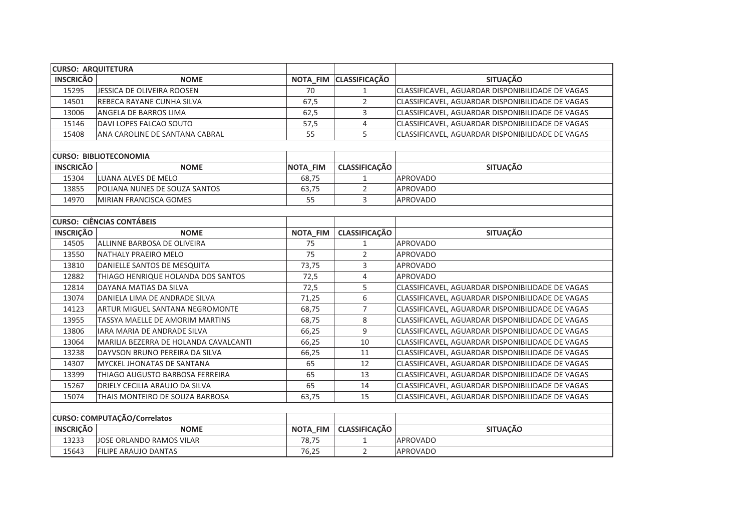| <b>CURSO: ARQUITETURA</b> |                                        |                 |                        |                                                  |
|---------------------------|----------------------------------------|-----------------|------------------------|--------------------------------------------------|
| <b>INSCRICÃO</b>          | <b>NOME</b>                            |                 | NOTA_FIM CLASSIFICAÇÃO | <b>SITUAÇÃO</b>                                  |
| 15295                     | JESSICA DE OLIVEIRA ROOSEN             | 70              | $\mathbf{1}$           | CLASSIFICAVEL, AGUARDAR DISPONIBILIDADE DE VAGAS |
| 14501                     | REBECA RAYANE CUNHA SILVA              | 67,5            | $\overline{2}$         | CLASSIFICAVEL, AGUARDAR DISPONIBILIDADE DE VAGAS |
| 13006                     | <b>ANGELA DE BARROS LIMA</b>           | 62,5            | 3                      | CLASSIFICAVEL, AGUARDAR DISPONIBILIDADE DE VAGAS |
| 15146                     | DAVI LOPES FALCAO SOUTO                | 57,5            | 4                      | CLASSIFICAVEL, AGUARDAR DISPONIBILIDADE DE VAGAS |
| 15408                     | ANA CAROLINE DE SANTANA CABRAL         | 55              | 5                      | CLASSIFICAVEL, AGUARDAR DISPONIBILIDADE DE VAGAS |
|                           |                                        |                 |                        |                                                  |
|                           | <b>CURSO: BIBLIOTECONOMIA</b>          |                 |                        |                                                  |
| <b>INSCRICÃO</b>          | <b>NOME</b>                            | <b>NOTA_FIM</b> | <b>CLASSIFICAÇÃO</b>   | <b>SITUAÇÃO</b>                                  |
| 15304                     | LUANA ALVES DE MELO                    | 68,75           | $\mathbf{1}$           | <b>APROVADO</b>                                  |
| 13855                     | POLIANA NUNES DE SOUZA SANTOS          | 63,75           | 2                      | APROVADO                                         |
| 14970                     | MIRIAN FRANCISCA GOMES                 | 55              | 3                      | <b>APROVADO</b>                                  |
|                           |                                        |                 |                        |                                                  |
|                           | <b>CURSO: CIÊNCIAS CONTÁBEIS</b>       |                 |                        |                                                  |
| <b>INSCRIÇÃO</b>          | <b>NOME</b>                            | <b>NOTA_FIM</b> | <b>CLASSIFICAÇÃO</b>   | <b>SITUAÇÃO</b>                                  |
| 14505                     | ALLINNE BARBOSA DE OLIVEIRA            | 75              | $\mathbf{1}$           | <b>APROVADO</b>                                  |
| 13550                     | NATHALY PRAEIRO MELO                   | 75              | $\overline{2}$         | <b>APROVADO</b>                                  |
| 13810                     | DANIELLE SANTOS DE MESQUITA            | 73,75           | 3                      | <b>APROVADO</b>                                  |
| 12882                     | THIAGO HENRIQUE HOLANDA DOS SANTOS     | 72,5            | 4                      | <b>APROVADO</b>                                  |
| 12814                     | DAYANA MATIAS DA SILVA                 | 72,5            | 5                      | CLASSIFICAVEL, AGUARDAR DISPONIBILIDADE DE VAGAS |
| 13074                     | DANIELA LIMA DE ANDRADE SILVA          | 71,25           | 6                      | CLASSIFICAVEL, AGUARDAR DISPONIBILIDADE DE VAGAS |
| 14123                     | <b>ARTUR MIGUEL SANTANA NEGROMONTE</b> | 68,75           | $\overline{7}$         | CLASSIFICAVEL, AGUARDAR DISPONIBILIDADE DE VAGAS |
| 13955                     | TASSYA MAELLE DE AMORIM MARTINS        | 68,75           | 8                      | CLASSIFICAVEL, AGUARDAR DISPONIBILIDADE DE VAGAS |
| 13806                     | <b>IARA MARIA DE ANDRADE SILVA</b>     | 66,25           | 9                      | CLASSIFICAVEL, AGUARDAR DISPONIBILIDADE DE VAGAS |
| 13064                     | MARILIA BEZERRA DE HOLANDA CAVALCANTI  | 66,25           | 10                     | CLASSIFICAVEL, AGUARDAR DISPONIBILIDADE DE VAGAS |
| 13238                     | DAYVSON BRUNO PEREIRA DA SILVA         | 66,25           | 11                     | CLASSIFICAVEL, AGUARDAR DISPONIBILIDADE DE VAGAS |
| 14307                     | MYCKEL JHONATAS DE SANTANA             | 65              | 12                     | CLASSIFICAVEL, AGUARDAR DISPONIBILIDADE DE VAGAS |
| 13399                     | THIAGO AUGUSTO BARBOSA FERREIRA        | 65              | 13                     | CLASSIFICAVEL, AGUARDAR DISPONIBILIDADE DE VAGAS |
| 15267                     | DRIELY CECILIA ARAUJO DA SILVA         | 65              | 14                     | CLASSIFICAVEL, AGUARDAR DISPONIBILIDADE DE VAGAS |
| 15074                     | THAIS MONTEIRO DE SOUZA BARBOSA        | 63,75           | 15                     | CLASSIFICAVEL, AGUARDAR DISPONIBILIDADE DE VAGAS |
|                           |                                        |                 |                        |                                                  |
|                           | CURSO: COMPUTAÇÃO/Correlatos           |                 |                        |                                                  |
| <b>INSCRIÇÃO</b>          | <b>NOME</b>                            | NOTA_FIM        | <b>CLASSIFICAÇÃO</b>   | <b>SITUAÇÃO</b>                                  |
| 13233                     | JOSE ORLANDO RAMOS VILAR               | 78,75           | $\mathbf{1}$           | <b>APROVADO</b>                                  |
| 15643                     | FILIPE ARAUJO DANTAS                   | 76,25           | $\overline{2}$         | <b>APROVADO</b>                                  |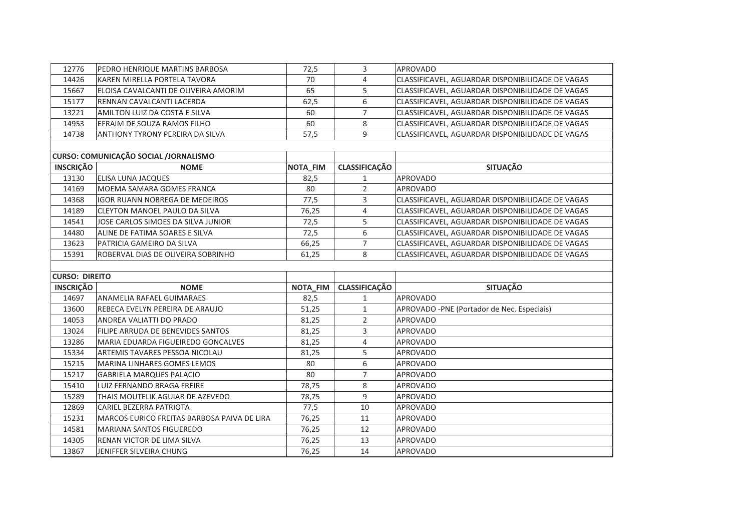| 12776                 | PEDRO HENRIQUE MARTINS BARBOSA               | 72,5     | 3                    | <b>APROVADO</b>                                  |
|-----------------------|----------------------------------------------|----------|----------------------|--------------------------------------------------|
| 14426                 | KAREN MIRELLA PORTELA TAVORA                 | 70       | 4                    | CLASSIFICAVEL, AGUARDAR DISPONIBILIDADE DE VAGAS |
| 15667                 | ELOISA CAVALCANTI DE OLIVEIRA AMORIM         | 65       | 5                    | CLASSIFICAVEL, AGUARDAR DISPONIBILIDADE DE VAGAS |
| 15177                 | RENNAN CAVALCANTI LACERDA                    | 62,5     | 6                    | CLASSIFICAVEL, AGUARDAR DISPONIBILIDADE DE VAGAS |
| 13221                 | AMILTON LUIZ DA COSTA E SILVA                | 60       | $\overline{7}$       | CLASSIFICAVEL, AGUARDAR DISPONIBILIDADE DE VAGAS |
| 14953                 | EFRAIM DE SOUZA RAMOS FILHO                  | 60       | 8                    | CLASSIFICAVEL, AGUARDAR DISPONIBILIDADE DE VAGAS |
| 14738                 | ANTHONY TYRONY PEREIRA DA SILVA              | 57,5     | 9                    | CLASSIFICAVEL, AGUARDAR DISPONIBILIDADE DE VAGAS |
|                       |                                              |          |                      |                                                  |
|                       | <b>CURSO: COMUNICAÇÃO SOCIAL /JORNALISMO</b> |          |                      |                                                  |
| <b>INSCRIÇÃO</b>      | <b>NOME</b>                                  | NOTA_FIM | <b>CLASSIFICAÇÃO</b> | <b>SITUAÇÃO</b>                                  |
| 13130                 | ELISA LUNA JACQUES                           | 82,5     | $\mathbf{1}$         | <b>APROVADO</b>                                  |
| 14169                 | MOEMA SAMARA GOMES FRANCA                    | 80       | 2                    | <b>APROVADO</b>                                  |
| 14368                 | <b>IGOR RUANN NOBREGA DE MEDEIROS</b>        | 77,5     | 3                    | CLASSIFICAVEL, AGUARDAR DISPONIBILIDADE DE VAGAS |
| 14189                 | CLEYTON MANOEL PAULO DA SILVA                | 76,25    | $\overline{4}$       | CLASSIFICAVEL, AGUARDAR DISPONIBILIDADE DE VAGAS |
| 14541                 | JOSE CARLOS SIMOES DA SILVA JUNIOR           | 72,5     | 5                    | CLASSIFICAVEL, AGUARDAR DISPONIBILIDADE DE VAGAS |
| 14480                 | ALINE DE FATIMA SOARES E SILVA               | 72,5     | 6                    | CLASSIFICAVEL, AGUARDAR DISPONIBILIDADE DE VAGAS |
| 13623                 | PATRICIA GAMEIRO DA SILVA                    | 66,25    | $\overline{7}$       | CLASSIFICAVEL, AGUARDAR DISPONIBILIDADE DE VAGAS |
| 15391                 | ROBERVAL DIAS DE OLIVEIRA SOBRINHO           | 61,25    | 8                    | CLASSIFICAVEL, AGUARDAR DISPONIBILIDADE DE VAGAS |
|                       |                                              |          |                      |                                                  |
| <b>CURSO: DIREITO</b> |                                              |          |                      |                                                  |
| <b>INSCRIÇÃO</b>      | <b>NOME</b>                                  | NOTA_FIM | <b>CLASSIFICAÇÃO</b> | <b>SITUAÇÃO</b>                                  |
| 14697                 | ANAMELIA RAFAEL GUIMARAES                    | 82,5     | $\mathbf{1}$         | <b>APROVADO</b>                                  |
| 13600                 | REBECA EVELYN PEREIRA DE ARAUJO              | 51,25    | $\mathbf{1}$         | APROVADO -PNE (Portador de Nec. Especiais)       |
| 14053                 | ANDREA VALIATTI DO PRADO                     | 81,25    | $\overline{2}$       | <b>APROVADO</b>                                  |
| 13024                 | FILIPE ARRUDA DE BENEVIDES SANTOS            | 81,25    | 3                    | <b>APROVADO</b>                                  |
| 13286                 | MARIA EDUARDA FIGUEIREDO GONCALVES           | 81,25    | 4                    | <b>APROVADO</b>                                  |
| 15334                 | ARTEMIS TAVARES PESSOA NICOLAU               | 81,25    | 5                    | <b>APROVADO</b>                                  |
| 15215                 | MARINA LINHARES GOMES LEMOS                  | 80       | 6                    | <b>APROVADO</b>                                  |
| 15217                 | <b>GABRIELA MARQUES PALACIO</b>              | 80       | $\overline{7}$       | <b>APROVADO</b>                                  |
| 15410                 | LUIZ FERNANDO BRAGA FREIRE                   | 78,75    | 8                    | <b>APROVADO</b>                                  |
| 15289                 | THAIS MOUTELIK AGUIAR DE AZEVEDO             | 78,75    | 9                    | <b>APROVADO</b>                                  |
| 12869                 | CARIEL BEZERRA PATRIOTA                      | 77,5     | 10                   | APROVADO                                         |
| 15231                 | MARCOS EURICO FREITAS BARBOSA PAIVA DE LIRA  | 76,25    | 11                   | <b>APROVADO</b>                                  |
| 14581                 | MARIANA SANTOS FIGUEREDO                     | 76,25    | 12                   | <b>APROVADO</b>                                  |
| 14305                 | RENAN VICTOR DE LIMA SILVA                   | 76,25    | 13                   | <b>APROVADO</b>                                  |
| 13867                 | JENIFFER SILVEIRA CHUNG                      | 76,25    | 14                   | <b>APROVADO</b>                                  |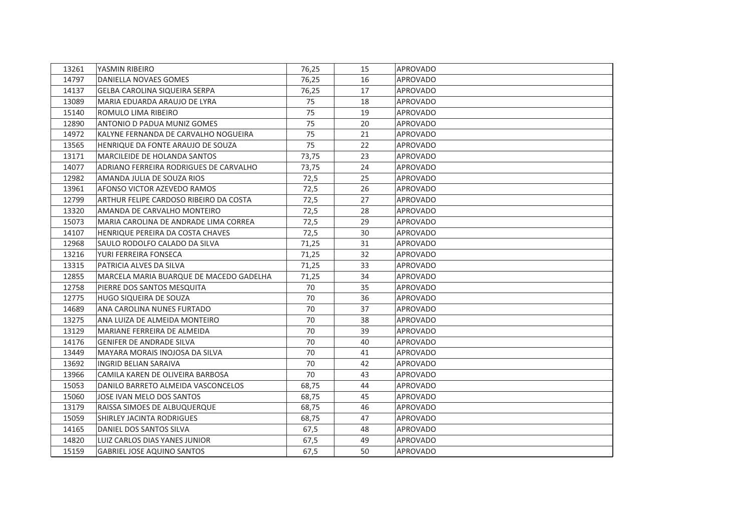| 13261 | YASMIN RIBEIRO                          | 76,25 | 15 | APROVADO        |
|-------|-----------------------------------------|-------|----|-----------------|
| 14797 | DANIELLA NOVAES GOMES                   | 76,25 | 16 | APROVADO        |
| 14137 | GELBA CAROLINA SIQUEIRA SERPA           | 76,25 | 17 | APROVADO        |
| 13089 | MARIA EDUARDA ARAUJO DE LYRA            | 75    | 18 | <b>APROVADO</b> |
| 15140 | ROMULO LIMA RIBEIRO                     | 75    | 19 | <b>APROVADO</b> |
| 12890 | ANTONIO D PADUA MUNIZ GOMES             | 75    | 20 | APROVADO        |
| 14972 | KALYNE FERNANDA DE CARVALHO NOGUEIRA    | 75    | 21 | <b>APROVADO</b> |
| 13565 | HENRIQUE DA FONTE ARAUJO DE SOUZA       | 75    | 22 | APROVADO        |
| 13171 | MARCILEIDE DE HOLANDA SANTOS            | 73,75 | 23 | APROVADO        |
| 14077 | ADRIANO FERREIRA RODRIGUES DE CARVALHO  | 73,75 | 24 | <b>APROVADO</b> |
| 12982 | AMANDA JULIA DE SOUZA RIOS              | 72,5  | 25 | APROVADO        |
| 13961 | AFONSO VICTOR AZEVEDO RAMOS             | 72,5  | 26 | APROVADO        |
| 12799 | ARTHUR FELIPE CARDOSO RIBEIRO DA COSTA  | 72,5  | 27 | APROVADO        |
| 13320 | AMANDA DE CARVALHO MONTEIRO             | 72,5  | 28 | <b>APROVADO</b> |
| 15073 | MARIA CAROLINA DE ANDRADE LIMA CORREA   | 72,5  | 29 | APROVADO        |
| 14107 | HENRIQUE PEREIRA DA COSTA CHAVES        | 72,5  | 30 | <b>APROVADO</b> |
| 12968 | SAULO RODOLFO CALADO DA SILVA           | 71,25 | 31 | APROVADO        |
| 13216 | YURI FERREIRA FONSECA                   | 71,25 | 32 | <b>APROVADO</b> |
| 13315 | PATRICIA ALVES DA SILVA                 | 71,25 | 33 | APROVADO        |
| 12855 | MARCELA MARIA BUARQUE DE MACEDO GADELHA | 71,25 | 34 | <b>APROVADO</b> |
| 12758 | PIERRE DOS SANTOS MESQUITA              | 70    | 35 | <b>APROVADO</b> |
| 12775 | HUGO SIQUEIRA DE SOUZA                  | 70    | 36 | <b>APROVADO</b> |
| 14689 | ANA CAROLINA NUNES FURTADO              | 70    | 37 | APROVADO        |
| 13275 | ANA LUIZA DE ALMEIDA MONTEIRO           | 70    | 38 | <b>APROVADO</b> |
| 13129 | MARIANE FERREIRA DE ALMEIDA             | 70    | 39 | APROVADO        |
| 14176 | <b>GENIFER DE ANDRADE SILVA</b>         | 70    | 40 | APROVADO        |
| 13449 | MAYARA MORAIS INOJOSA DA SILVA          | 70    | 41 | APROVADO        |
| 13692 | INGRID BELIAN SARAIVA                   | 70    | 42 | APROVADO        |
| 13966 | CAMILA KAREN DE OLIVEIRA BARBOSA        | 70    | 43 | APROVADO        |
| 15053 | DANILO BARRETO ALMEIDA VASCONCELOS      | 68,75 | 44 | APROVADO        |
| 15060 | JOSE IVAN MELO DOS SANTOS               | 68,75 | 45 | APROVADO        |
| 13179 | RAISSA SIMOES DE ALBUQUERQUE            | 68,75 | 46 | <b>APROVADO</b> |
| 15059 | SHIRLEY JACINTA RODRIGUES               | 68,75 | 47 | <b>APROVADO</b> |
| 14165 | DANIEL DOS SANTOS SILVA                 | 67,5  | 48 | <b>APROVADO</b> |
| 14820 | <b>LUIZ CARLOS DIAS YANES JUNIOR</b>    | 67,5  | 49 | <b>APROVADO</b> |
| 15159 | <b>GABRIEL JOSE AQUINO SANTOS</b>       | 67,5  | 50 | <b>APROVADO</b> |
|       |                                         |       |    |                 |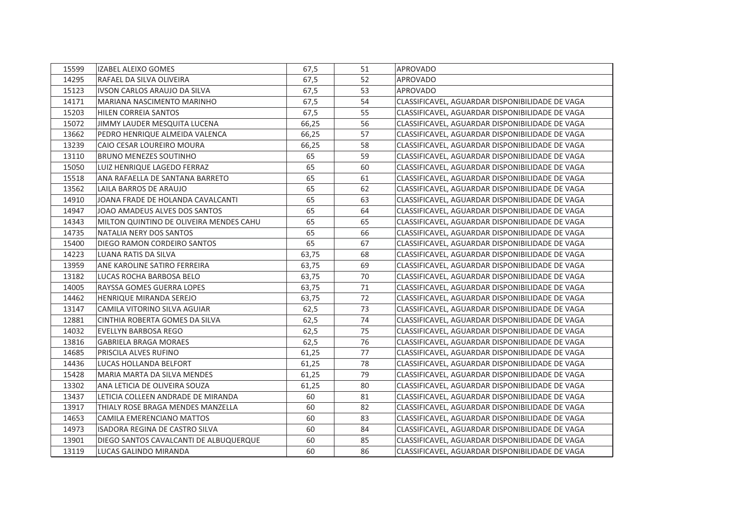| 15599 | <b>IZABEL ALEIXO GOMES</b>              | 67,5  | 51 | <b>APROVADO</b>                                 |
|-------|-----------------------------------------|-------|----|-------------------------------------------------|
| 14295 | RAFAEL DA SILVA OLIVEIRA                | 67,5  | 52 | <b>APROVADO</b>                                 |
| 15123 | IVSON CARLOS ARAUJO DA SILVA            | 67,5  | 53 | <b>APROVADO</b>                                 |
| 14171 | MARIANA NASCIMENTO MARINHO              | 67,5  | 54 | CLASSIFICAVEL, AGUARDAR DISPONIBILIDADE DE VAGA |
| 15203 | HILEN CORREIA SANTOS                    | 67,5  | 55 | CLASSIFICAVEL, AGUARDAR DISPONIBILIDADE DE VAGA |
| 15072 | JIMMY LAUDER MESQUITA LUCENA            | 66,25 | 56 | CLASSIFICAVEL, AGUARDAR DISPONIBILIDADE DE VAGA |
| 13662 | PEDRO HENRIQUE ALMEIDA VALENCA          | 66,25 | 57 | CLASSIFICAVEL, AGUARDAR DISPONIBILIDADE DE VAGA |
| 13239 | CAIO CESAR LOUREIRO MOURA               | 66,25 | 58 | CLASSIFICAVEL, AGUARDAR DISPONIBILIDADE DE VAGA |
| 13110 | <b>BRUNO MENEZES SOUTINHO</b>           | 65    | 59 | CLASSIFICAVEL, AGUARDAR DISPONIBILIDADE DE VAGA |
| 15050 | LUIZ HENRIQUE LAGEDO FERRAZ             | 65    | 60 | CLASSIFICAVEL, AGUARDAR DISPONIBILIDADE DE VAGA |
| 15518 | ANA RAFAELLA DE SANTANA BARRETO         | 65    | 61 | CLASSIFICAVEL, AGUARDAR DISPONIBILIDADE DE VAGA |
| 13562 | LAILA BARROS DE ARAUJO                  | 65    | 62 | CLASSIFICAVEL, AGUARDAR DISPONIBILIDADE DE VAGA |
| 14910 | JOANA FRADE DE HOLANDA CAVALCANTI       | 65    | 63 | CLASSIFICAVEL, AGUARDAR DISPONIBILIDADE DE VAGA |
| 14947 | JOAO AMADEUS ALVES DOS SANTOS           | 65    | 64 | CLASSIFICAVEL, AGUARDAR DISPONIBILIDADE DE VAGA |
| 14343 | MILTON QUINTINO DE OLIVEIRA MENDES CAHU | 65    | 65 | CLASSIFICAVEL, AGUARDAR DISPONIBILIDADE DE VAGA |
| 14735 | NATALIA NERY DOS SANTOS                 | 65    | 66 | CLASSIFICAVEL, AGUARDAR DISPONIBILIDADE DE VAGA |
| 15400 | DIEGO RAMON CORDEIRO SANTOS             | 65    | 67 | CLASSIFICAVEL, AGUARDAR DISPONIBILIDADE DE VAGA |
| 14223 | <b>LUANA RATIS DA SILVA</b>             | 63,75 | 68 | CLASSIFICAVEL, AGUARDAR DISPONIBILIDADE DE VAGA |
| 13959 | ANE KAROLINE SATIRO FERREIRA            | 63,75 | 69 | CLASSIFICAVEL, AGUARDAR DISPONIBILIDADE DE VAGA |
| 13182 | LUCAS ROCHA BARBOSA BELO                | 63,75 | 70 | CLASSIFICAVEL, AGUARDAR DISPONIBILIDADE DE VAGA |
| 14005 | RAYSSA GOMES GUERRA LOPES               | 63,75 | 71 | CLASSIFICAVEL, AGUARDAR DISPONIBILIDADE DE VAGA |
| 14462 | HENRIQUE MIRANDA SEREJO                 | 63,75 | 72 | CLASSIFICAVEL, AGUARDAR DISPONIBILIDADE DE VAGA |
| 13147 | CAMILA VITORINO SILVA AGUIAR            | 62,5  | 73 | CLASSIFICAVEL, AGUARDAR DISPONIBILIDADE DE VAGA |
| 12881 | CINTHIA ROBERTA GOMES DA SILVA          | 62,5  | 74 | CLASSIFICAVEL, AGUARDAR DISPONIBILIDADE DE VAGA |
| 14032 | EVELLYN BARBOSA REGO                    | 62,5  | 75 | CLASSIFICAVEL, AGUARDAR DISPONIBILIDADE DE VAGA |
| 13816 | <b>GABRIELA BRAGA MORAES</b>            | 62,5  | 76 | CLASSIFICAVEL, AGUARDAR DISPONIBILIDADE DE VAGA |
| 14685 | PRISCILA ALVES RUFINO                   | 61,25 | 77 | CLASSIFICAVEL, AGUARDAR DISPONIBILIDADE DE VAGA |
| 14436 | LUCAS HOLLANDA BELFORT                  | 61,25 | 78 | CLASSIFICAVEL, AGUARDAR DISPONIBILIDADE DE VAGA |
| 15428 | MARIA MARTA DA SILVA MENDES             | 61,25 | 79 | CLASSIFICAVEL, AGUARDAR DISPONIBILIDADE DE VAGA |
| 13302 | ANA LETICIA DE OLIVEIRA SOUZA           | 61,25 | 80 | CLASSIFICAVEL, AGUARDAR DISPONIBILIDADE DE VAGA |
| 13437 | LETICIA COLLEEN ANDRADE DE MIRANDA      | 60    | 81 | CLASSIFICAVEL, AGUARDAR DISPONIBILIDADE DE VAGA |
| 13917 | THIALY ROSE BRAGA MENDES MANZELLA       | 60    | 82 | CLASSIFICAVEL, AGUARDAR DISPONIBILIDADE DE VAGA |
| 14653 | CAMILA EMERENCIANO MATTOS               | 60    | 83 | CLASSIFICAVEL, AGUARDAR DISPONIBILIDADE DE VAGA |
| 14973 | ISADORA REGINA DE CASTRO SILVA          | 60    | 84 | CLASSIFICAVEL, AGUARDAR DISPONIBILIDADE DE VAGA |
| 13901 | DIEGO SANTOS CAVALCANTI DE ALBUQUERQUE  | 60    | 85 | CLASSIFICAVEL, AGUARDAR DISPONIBILIDADE DE VAGA |
| 13119 | LUCAS GALINDO MIRANDA                   | 60    | 86 | CLASSIFICAVEL, AGUARDAR DISPONIBILIDADE DE VAGA |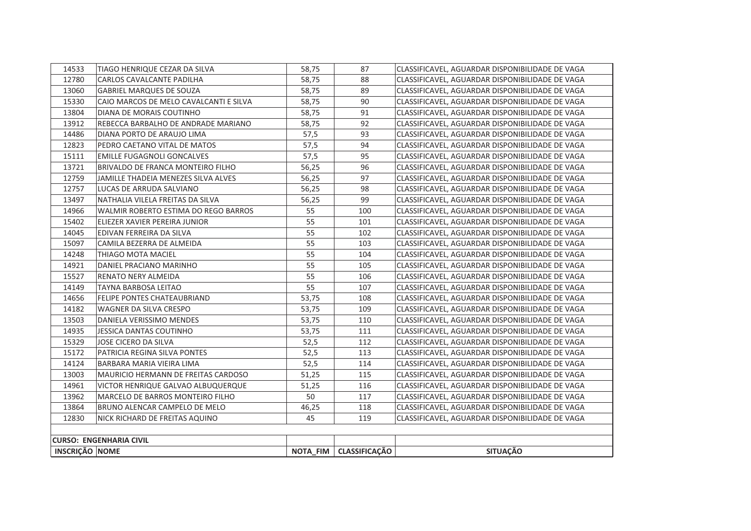| 14533                 | TIAGO HENRIQUE CEZAR DA SILVA           | 58,75 | 87                       | CLASSIFICAVEL, AGUARDAR DISPONIBILIDADE DE VAGA |
|-----------------------|-----------------------------------------|-------|--------------------------|-------------------------------------------------|
| 12780                 | CARLOS CAVALCANTE PADILHA               | 58.75 | 88                       | CLASSIFICAVEL. AGUARDAR DISPONIBILIDADE DE VAGA |
| 13060                 | <b>GABRIEL MARQUES DE SOUZA</b>         | 58,75 | 89                       | CLASSIFICAVEL, AGUARDAR DISPONIBILIDADE DE VAGA |
| 15330                 | CAIO MARCOS DE MELO CAVALCANTI E SILVA  | 58,75 | 90                       | CLASSIFICAVEL. AGUARDAR DISPONIBILIDADE DE VAGA |
| 13804                 | DIANA DE MORAIS COUTINHO                | 58,75 | 91                       | CLASSIFICAVEL, AGUARDAR DISPONIBILIDADE DE VAGA |
| 13912                 | REBECCA BARBALHO DE ANDRADE MARIANO     | 58,75 | 92                       | CLASSIFICAVEL, AGUARDAR DISPONIBILIDADE DE VAGA |
| 14486                 | DIANA PORTO DE ARAUJO LIMA              | 57,5  | 93                       | CLASSIFICAVEL, AGUARDAR DISPONIBILIDADE DE VAGA |
| 12823                 | PEDRO CAETANO VITAL DE MATOS            | 57,5  | 94                       | CLASSIFICAVEL, AGUARDAR DISPONIBILIDADE DE VAGA |
| 15111                 | <b>EMILLE FUGAGNOLI GONCALVES</b>       | 57,5  | 95                       | CLASSIFICAVEL, AGUARDAR DISPONIBILIDADE DE VAGA |
| 13721                 | BRIVALDO DE FRANCA MONTEIRO FILHO       | 56.25 | 96                       | CLASSIFICAVEL, AGUARDAR DISPONIBILIDADE DE VAGA |
| 12759                 | JAMILLE THADEIA MENEZES SILVA ALVES     | 56,25 | 97                       | CLASSIFICAVEL, AGUARDAR DISPONIBILIDADE DE VAGA |
| 12757                 | LUCAS DE ARRUDA SALVIANO                | 56,25 | 98                       | CLASSIFICAVEL, AGUARDAR DISPONIBILIDADE DE VAGA |
| 13497                 | NATHALIA VILELA FREITAS DA SILVA        | 56,25 | 99                       | CLASSIFICAVEL, AGUARDAR DISPONIBILIDADE DE VAGA |
| 14966                 | WALMIR ROBERTO ESTIMA DO REGO BARROS    | 55    | 100                      | CLASSIFICAVEL, AGUARDAR DISPONIBILIDADE DE VAGA |
| 15402                 | ELIEZER XAVIER PEREIRA JUNIOR           | 55    | 101                      | CLASSIFICAVEL, AGUARDAR DISPONIBILIDADE DE VAGA |
| 14045                 | EDIVAN FERREIRA DA SILVA                | 55    | 102                      | CLASSIFICAVEL, AGUARDAR DISPONIBILIDADE DE VAGA |
| 15097                 | CAMILA BEZERRA DE ALMEIDA               | 55    | 103                      | CLASSIFICAVEL, AGUARDAR DISPONIBILIDADE DE VAGA |
| 14248                 | THIAGO MOTA MACIEL                      | 55    | 104                      | CLASSIFICAVEL, AGUARDAR DISPONIBILIDADE DE VAGA |
| 14921                 | DANIEL PRACIANO MARINHO                 | 55    | 105                      | CLASSIFICAVEL, AGUARDAR DISPONIBILIDADE DE VAGA |
| 15527                 | RENATO NERY ALMEIDA                     | 55    | 106                      | CLASSIFICAVEL, AGUARDAR DISPONIBILIDADE DE VAGA |
| 14149                 | <b>TAYNA BARBOSA LEITAO</b>             | 55    | 107                      | CLASSIFICAVEL, AGUARDAR DISPONIBILIDADE DE VAGA |
| 14656                 | <b>FELIPE PONTES CHATEAUBRIAND</b>      | 53,75 | 108                      | CLASSIFICAVEL, AGUARDAR DISPONIBILIDADE DE VAGA |
| 14182                 | WAGNER DA SILVA CRESPO                  | 53.75 | 109                      | CLASSIFICAVEL. AGUARDAR DISPONIBILIDADE DE VAGA |
| 13503                 | DANIELA VERISSIMO MENDES                | 53,75 | 110                      | CLASSIFICAVEL, AGUARDAR DISPONIBILIDADE DE VAGA |
| 14935                 | <b>JESSICA DANTAS COUTINHO</b>          | 53,75 | 111                      | CLASSIFICAVEL. AGUARDAR DISPONIBILIDADE DE VAGA |
| 15329                 | JOSE CICERO DA SILVA                    | 52,5  | 112                      | CLASSIFICAVEL, AGUARDAR DISPONIBILIDADE DE VAGA |
| 15172                 | PATRICIA REGINA SILVA PONTES            | 52,5  | 113                      | CLASSIFICAVEL, AGUARDAR DISPONIBILIDADE DE VAGA |
| 14124                 | BARBARA MARIA VIEIRA LIMA               | 52,5  | 114                      | CLASSIFICAVEL, AGUARDAR DISPONIBILIDADE DE VAGA |
| 13003                 | MAURICIO HERMANN DE FREITAS CARDOSO     | 51,25 | 115                      | CLASSIFICAVEL, AGUARDAR DISPONIBILIDADE DE VAGA |
| 14961                 | VICTOR HENRIQUE GALVAO ALBUQUERQUE      | 51,25 | 116                      | CLASSIFICAVEL, AGUARDAR DISPONIBILIDADE DE VAGA |
| 13962                 | <b>MARCELO DE BARROS MONTEIRO FILHO</b> | 50    | 117                      | CLASSIFICAVEL. AGUARDAR DISPONIBILIDADE DE VAGA |
| 13864                 | BRUNO ALENCAR CAMPELO DE MELO           | 46,25 | 118                      | CLASSIFICAVEL, AGUARDAR DISPONIBILIDADE DE VAGA |
| 12830                 | NICK RICHARD DE FREITAS AQUINO          | 45    | 119                      | CLASSIFICAVEL, AGUARDAR DISPONIBILIDADE DE VAGA |
|                       |                                         |       |                          |                                                 |
|                       | <b>CURSO: ENGENHARIA CIVIL</b>          |       |                          |                                                 |
| <b>INSCRIÇÃO NOME</b> |                                         |       | NOTA FIM   CLASSIFICAÇÃO | <b>SITUAÇÃO</b>                                 |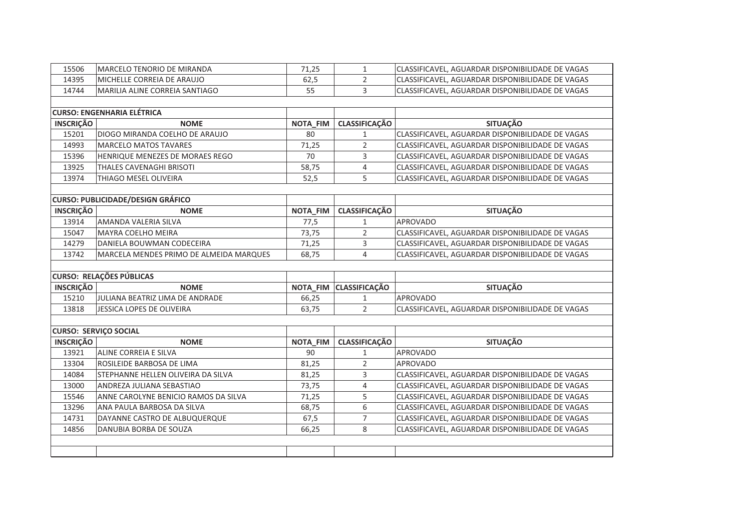| 15506            | MARCELO TENORIO DE MIRANDA               | 71,25    | $\mathbf{1}$           | CLASSIFICAVEL, AGUARDAR DISPONIBILIDADE DE VAGAS |
|------------------|------------------------------------------|----------|------------------------|--------------------------------------------------|
| 14395            | MICHELLE CORREIA DE ARAUJO               | 62,5     | $\overline{2}$         | CLASSIFICAVEL, AGUARDAR DISPONIBILIDADE DE VAGAS |
| 14744            | MARILIA ALINE CORREIA SANTIAGO           | 55       | 3                      | CLASSIFICAVEL, AGUARDAR DISPONIBILIDADE DE VAGAS |
|                  |                                          |          |                        |                                                  |
|                  | <b>CURSO: ENGENHARIA ELÉTRICA</b>        |          |                        |                                                  |
| <b>INSCRIÇÃO</b> | <b>NOME</b>                              | NOTA_FIM | <b>CLASSIFICAÇÃO</b>   | <b>SITUAÇÃO</b>                                  |
| 15201            | DIOGO MIRANDA COELHO DE ARAUJO           | 80       | $\mathbf{1}$           | CLASSIFICAVEL, AGUARDAR DISPONIBILIDADE DE VAGAS |
| 14993            | <b>MARCELO MATOS TAVARES</b>             | 71,25    | $\overline{2}$         | CLASSIFICAVEL, AGUARDAR DISPONIBILIDADE DE VAGAS |
| 15396            | HENRIQUE MENEZES DE MORAES REGO          | 70       | 3                      | CLASSIFICAVEL, AGUARDAR DISPONIBILIDADE DE VAGAS |
| 13925            | THALES CAVENAGHI BRISOTI                 | 58,75    | $\overline{4}$         | CLASSIFICAVEL, AGUARDAR DISPONIBILIDADE DE VAGAS |
| 13974            | THIAGO MESEL OLIVEIRA                    | 52,5     | 5                      | CLASSIFICAVEL, AGUARDAR DISPONIBILIDADE DE VAGAS |
|                  |                                          |          |                        |                                                  |
|                  | <b>CURSO: PUBLICIDADE/DESIGN GRÁFICO</b> |          |                        |                                                  |
| <b>INSCRIÇÃO</b> | <b>NOME</b>                              | NOTA_FIM | <b>CLASSIFICAÇÃO</b>   | <b>SITUAÇÃO</b>                                  |
| 13914            | AMANDA VALERIA SILVA                     | 77,5     | $\mathbf{1}$           | <b>APROVADO</b>                                  |
| 15047            | <b>MAYRA COELHO MEIRA</b>                | 73,75    | $\overline{2}$         | CLASSIFICAVEL, AGUARDAR DISPONIBILIDADE DE VAGAS |
| 14279            | DANIELA BOUWMAN CODECEIRA                | 71,25    | 3                      | CLASSIFICAVEL, AGUARDAR DISPONIBILIDADE DE VAGAS |
| 13742            | MARCELA MENDES PRIMO DE ALMEIDA MARQUES  | 68,75    | $\overline{4}$         | CLASSIFICAVEL, AGUARDAR DISPONIBILIDADE DE VAGAS |
|                  |                                          |          |                        |                                                  |
|                  | <b>CURSO: RELAÇÕES PÚBLICAS</b>          |          |                        |                                                  |
| <b>INSCRIÇÃO</b> | <b>NOME</b>                              |          | NOTA_FIM CLASSIFICAÇÃO | <b>SITUAÇÃO</b>                                  |
| 15210            | JULIANA BEATRIZ LIMA DE ANDRADE          | 66,25    | $\mathbf{1}$           | <b>APROVADO</b>                                  |
| 13818            | JESSICA LOPES DE OLIVEIRA                | 63,75    | $\overline{2}$         | CLASSIFICAVEL, AGUARDAR DISPONIBILIDADE DE VAGAS |
|                  |                                          |          |                        |                                                  |
|                  | <b>CURSO: SERVIÇO SOCIAL</b>             |          |                        |                                                  |
| <b>INSCRIÇÃO</b> | <b>NOME</b>                              | NOTA_FIM | <b>CLASSIFICAÇÃO</b>   | <b>SITUAÇÃO</b>                                  |
| 13921            | <b>ALINE CORREIA E SILVA</b>             | 90       | $\mathbf{1}$           | <b>APROVADO</b>                                  |
| 13304            | ROSILEIDE BARBOSA DE LIMA                | 81.25    | $\overline{2}$         | APROVADO                                         |
| 14084            | STEPHANNE HELLEN OLIVEIRA DA SILVA       | 81,25    | 3                      | CLASSIFICAVEL, AGUARDAR DISPONIBILIDADE DE VAGAS |
| 13000            | ANDREZA JULIANA SEBASTIAO                | 73,75    | 4                      | CLASSIFICAVEL, AGUARDAR DISPONIBILIDADE DE VAGAS |
| 15546            | ANNE CAROLYNE BENICIO RAMOS DA SILVA     | 71,25    | 5                      | CLASSIFICAVEL, AGUARDAR DISPONIBILIDADE DE VAGAS |
| 13296            | ANA PAULA BARBOSA DA SILVA               | 68,75    | 6                      | CLASSIFICAVEL, AGUARDAR DISPONIBILIDADE DE VAGAS |
| 14731            | DAYANNE CASTRO DE ALBUQUERQUE            | 67,5     | $\overline{7}$         | CLASSIFICAVEL, AGUARDAR DISPONIBILIDADE DE VAGAS |
| 14856            | DANUBIA BORBA DE SOUZA                   | 66,25    | 8                      | CLASSIFICAVEL, AGUARDAR DISPONIBILIDADE DE VAGAS |
|                  |                                          |          |                        |                                                  |
|                  |                                          |          |                        |                                                  |